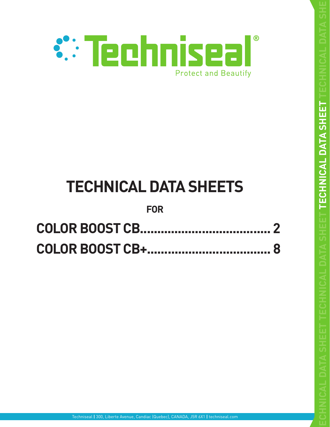

# **TECHNICAL DATA SHEETS**

# **FOR**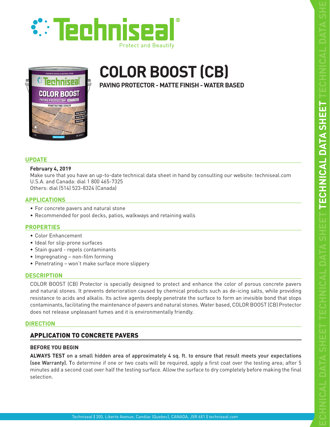

<span id="page-1-0"></span>



# **COLOR BOOST (CB)**

**PAVING PROTECTOR - MATTE FINISH - WATER BASED**

#### **UPDATE**

#### **February 4, 2019**

Make sure that you have an up-to-date technical data sheet in hand by consulting our website: techniseal.com U.S.A. and Canada: dial 1 800 465-7325 Others: dial (514) 523-8324 (Canada)

#### **APPLICATIONS**

- For concrete pavers and natural stone
- Recommended for pool decks, patios, walkways and retaining walls

#### **PROPERTIES**

- Color Enhancement
- Ideal for slip-prone surfaces
- Stain guard repels contaminants
- Impregnating non-film forming
- Penetrating won't make surface more slippery

#### **DESCRIPTION**

COLOR BOOST (CB) Protector is specially designed to protect and enhance the color of porous concrete pavers and natural stones. It prevents deterioration caused by chemical products such as de-icing salts, while providing resistance to acids and alkalis. Its active agents deeply penetrate the surface to form an invisible bond that stops contaminants, facilitating the maintenance of pavers and natural stones. Water based, COLOR BOOST (CB) Protector does not release unpleasant fumes and it is environmentally friendly.

#### **DIRECTION**

# APPLICATION TO CONCRETE PAVERS

#### **BEFORE YOU BEGIN**

**ALWAYS TEST** on a small hidden area of approximately 4 sq. ft. to ensure that result meets your expectations (see Warranty). To determine if one or two coats will be required, apply a first coat over the testing area; after 5 minutes add a second coat over half the testing surface. Allow the surface to dry completely before making the final selection.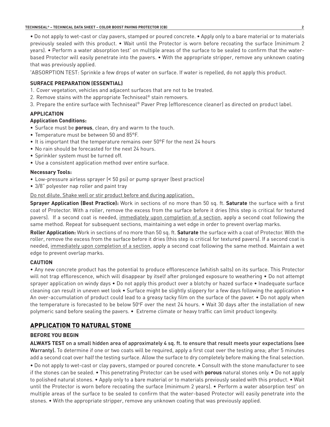• Do not apply to wet-cast or clay pavers, stamped or poured concrete. • Apply only to a bare material or to materials previously sealed with this product. • Wait until the Protector is worn before recoating the surface (minimum 2 years). • Perform a water absorption test\* on multiple areas of the surface to be sealed to confirm that the waterbased Protector will easily penetrate into the pavers. • With the appropriate stripper, remove any unknown coating that was previously applied.

\* ABSORPTION TEST: Sprinkle a few drops of water on surface. If water is repelled, do not apply this product.

#### **SURFACE PREPARATION (ESSENTIAL)**

- 1. Cover vegetation, vehicles and adjacent surfaces that are not to be treated.
- 2. Remove stains with the appropriate Techniseal® stain removers.
- 3. Prepare the entire surface with Techniseal® Paver Prep (efflorescence cleaner) as directed on product label.

#### **APPLICATION**

#### **Application Conditions:**

- Surface must be **porous**, clean, dry and warm to the touch.
- Temperature must be between 50 and 85°F.
- It is important that the temperature remains over 50°F for the next 24 hours
- No rain should be forecasted for the next 24 hours.
- Sprinkler system must be turned off.
- Use a consistent application method over entire surface.

#### **Necessary Tools:**

- Low-pressure airless sprayer (< 50 psi) or pump sprayer (best practice)
- 3/8" polyester nap roller and paint tray

Do not dilute. Shake well or stir product before and during application.

**Sprayer Application (Best Practice):** Work in sections of no more than 50 sq. ft. **Saturate** the surface with a first coat of Protector. With a roller, remove the excess from the surface before it dries (this step is critical for textured pavers). If a second coat is needed, immediately upon completion of a section, apply a second coat following the same method. Repeat for subsequent sections, maintaining a wet edge in order to prevent overlap marks.

**Roller Application:** Work in sections of no more than 50 sq. ft. **Saturate** the surface with a coat of Protector. With the roller, remove the excess from the surface before it dries (this step is critical for textured pavers). If a second coat is needed, immediately upon completion of a section, apply a second coat following the same method. Maintain a wet edge to prevent overlap marks.

#### **CAUTION**

• Any new concrete product has the potential to produce efflorescence (whitish salts) on its surface. This Protector will not trap efflorescence, which will disappear by itself after prolonged exposure to weathering • Do not attempt sprayer application on windy days • Do not apply this product over a blotchy or hazed surface • Inadequate surface cleaning can result in uneven wet look • Surface might be slightly slippery for a few days following the application • An over-accumulation of product could lead to a greasy tacky film on the surface of the paver. • Do not apply when the temperature is forecasted to be below 50°F over the next 24 hours. • Wait 30 days after the installation of new polymeric sand before sealing the pavers. • Extreme climate or heavy traffic can limit product longevity.

## APPLICATION TO NATURAL STONE

#### **BEFORE YOU BEGIN**

**ALWAYS TEST** on a small hidden area of approximately 4 sq. ft. to ensure that result meets your expectations (see Warranty). To determine if one or two coats will be required, apply a first coat over the testing area; after 5 minutes add a second coat over half the testing surface. Allow the surface to dry completely before making the final selection.

• Do not apply to wet-cast or clay pavers, stamped or poured concrete. • Consult with the stone manufacturer to see if the stones can be sealed. • This penetrating Protector can be used with **porous** natural stones only. • Do not apply to polished natural stones. • Apply only to a bare material or to materials previously sealed with this product. • Wait until the Protector is worn before recoating the surface (minimum 2 years). • Perform a water absorption test'on multiple areas of the surface to be sealed to confirm that the water-based Protector will easily penetrate into the stones. • With the appropriate stripper, remove any unknown coating that was previously applied.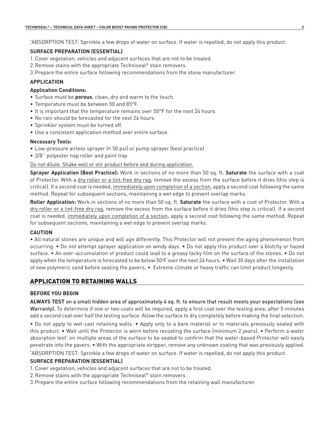\* ABSORPTION TEST: Sprinkle a few drops of water on surface. If water is repelled, do not apply this product.

#### **SURFACE PREPARATION (ESSENTIAL)**

- 1.Cover vegetation, vehicles and adjacent surfaces that are not to be treated.
- 2.Remove stains with the appropriate Techniseal® stain removers.
- 3.Prepare the entire surface following recommendations from the stone manufacturer.

#### **APPLICATION**

#### **Application Conditions:**

- Surface must be **porous**, clean, dry and warm to the touch.
- Temperature must be between 50 and 85°F.
- It is important that the temperature remains over 50°F for the next 24 hours
- No rain should be forecasted for the next 24 hours.
- Sprinkler system must be turned off.
- Use a consistent application method over entire surface.

#### **Necessary Tools:**

- Low-pressure airless sprayer (< 50 psi) or pump sprayer (best practice)
- 3/8'' polyester nap roller and paint tray

#### Do not dilute. Shake well or stir product before and during application.

**Sprayer Application (Best Practice):** Work in sections of no more than 50 sq. ft. **Saturate** the surface with a coat of Protector. With a dry roller or a lint-free dry rag, remove the excess from the surface before it dries (this step is critical). If a second coat is needed, immediately upon completion of a section, apply a second coat following the same method. Repeat for subsequent sections, maintaining a wet edge to prevent overlap marks.

**Roller Application:** Work in sections of no more than 50 sq. ft. **Saturate** the surface with a coat of Protector. With a dry roller or a lint-free dry rag, remove the excess from the surface before it dries (this step is critical). If a second coat is needed, immediately upon completion of a section, apply a second coat following the same method. Repeat for subsequent sections, maintaining a wet edge to prevent overlap marks.

#### **CAUTION**

• All natural stones are unique and will age differently. This Protector will not prevent the aging phenomenon from occurring. • Do not attempt sprayer application on windy days. • Do not apply this product over a blotchy or hazed surface. • An over-accumulation of product could lead to a greasy tacky film on the surface of the stones. • Do not apply when the temperature is forecasted to be below 50°F over the next 24 hours.  $\bullet$  Wait 30 days after the installation of new polymeric sand before sealing the pavers. • Extreme climate or heavy traffic can limit product longevity.

## APPLICATION TO RETAINING WALLS

#### **BEFORE YOU BEGIN**

**ALWAYS TEST** on a small hidden area of approximately 4 sq. ft. to ensure that result meets your expectations (see Warranty). To determine if one or two coats will be required, apply a first coat over the testing area; after 5 minutes add a second coat over half the testing surface. Allow the surface to dry completely before making the final selection.

• Do not apply to wet-cast retaining walls. • Apply only to a bare material or to materials previously sealed with this product. • Wait until the Protector is worn before recoating the surface (minimum 2 years). • Perform a water absorption test\* on multiple areas of the surface to be sealed to confirm that the water-based Protector will easily penetrate into the pavers. • With the appropriate stripper, remove any unknown coating that was previously applied. \* ABSORPTION TEST: Sprinkle a few drops of water on surface. If water is repelled, do not apply this product.

#### **SURFACE PREPARATION (ESSENTIAL)**

- 1.Cover vegetation, vehicles and adjacent surfaces that are not to be treated.
- 2.Remove stains with the appropriate Techniseal® stain removers.
- 3.Prepare the entire surface following recommendations from the retaining wall manufacturer.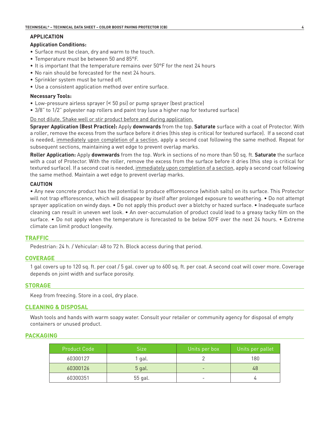#### **APPLICATION**

#### **Application Conditions:**

- Surface must be clean, dry and warm to the touch.
- Temperature must be between 50 and 85°F.
- It is important that the temperature remains over 50°F for the next 24 hours
- No rain should be forecasted for the next 24 hours.
- Sprinkler system must be turned off.
- Use a consistent application method over entire surface.

#### **Necessary Tools:**

- Low-pressure airless sprayer (< 50 psi) or pump sprayer (best practice)
- 3/8" to 1/2" polyester nap rollers and paint tray (use a higher nap for textured surface)

Do not dilute. Shake well or stir product before and during application.

**Sprayer Application (Best Practice):** Apply **downwards** from the top. **Saturate** surface with a coat of Protector. With a roller, remove the excess from the surface before it dries (this step is critical for textured surface). If a second coat is needed, immediately upon completion of a section, apply a second coat following the same method. Repeat for subsequent sections, maintaining a wet edge to prevent overlap marks.

**Roller Application:** Apply **downwards** from the top. Work in sections of no more than 50 sq. ft. **Saturate** the surface with a coat of Protector. With the roller, remove the excess from the surface before it dries (this step is critical for textured surface). If a second coat is needed, immediately upon completion of a section, apply a second coat following the same method. Maintain a wet edge to prevent overlap marks.

#### **CAUTION**

• Any new concrete product has the potential to produce efflorescence (whitish salts) on its surface. This Protector will not trap efflorescence, which will disappear by itself after prolonged exposure to weathering. • Do not attempt sprayer application on windy days. • Do not apply this product over a blotchy or hazed surface. • Inadequate surface cleaning can result in uneven wet look. • An over-accumulation of product could lead to a greasy tacky film on the surface. • Do not apply when the temperature is forecasted to be below  $50^{\circ}$ F over the next 24 hours. • Extreme climate can limit product longevity.

#### **TRAFFIC**

Pedestrian: 24 h. / Vehicular: 48 to 72 h. Block access during that period.

#### **COVERAGE**

1 gal covers up to 120 sq. ft. per coat / 5 gal. cover up to 600 sq. ft. per coat. A second coat will cover more. Coverage depends on joint width and surface porosity.

#### **STORAGE**

Keep from freezing. Store in a cool, dry place.

#### **CLEANING & DISPOSAL**

Wash tools and hands with warm soapy water. Consult your retailer or community agency for disposal of empty containers or unused product.

#### **PACKAGING**

| <b>Product Code</b> | Size    | Units per box | Units per pallet |
|---------------------|---------|---------------|------------------|
| 60300127            | ' gal.  |               | 180              |
| 60300126            | 5 gal.  |               | 48               |
| 60300351            | 55 gal. |               |                  |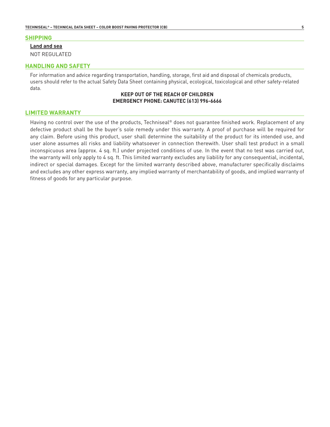#### **SHIPPING**

#### **Land and sea**

NOT REGULATED

#### **HANDLING AND SAFETY**

For information and advice regarding transportation, handling, storage, first aid and disposal of chemicals products, users should refer to the actual Safety Data Sheet containing physical, ecological, toxicological and other safety-related data.

#### **KEEP OUT OF THE REACH OF CHILDREN EMERGENCY PHONE: CANUTEC (613) 996-6666**

#### **LIMITED WARRANTY**

Having no control over the use of the products, Techniseal® does not guarantee finished work. Replacement of any defective product shall be the buyer's sole remedy under this warranty. A proof of purchase will be required for any claim. Before using this product, user shall determine the suitability of the product for its intended use, and user alone assumes all risks and liability whatsoever in connection therewith. User shall test product in a small inconspicuous area (approx. 4 sq. ft.) under projected conditions of use. In the event that no test was carried out, the warranty will only apply to 4 sq. ft. This limited warranty excludes any liability for any consequential, incidental, indirect or special damages. Except for the limited warranty described above, manufacturer specifically disclaims and excludes any other express warranty, any implied warranty of merchantability of goods, and implied warranty of fitness of goods for any particular purpose.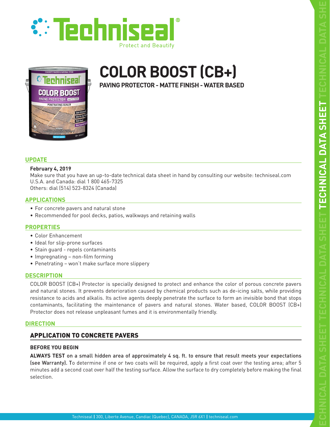

<span id="page-7-0"></span>



# **COLOR BOOST (CB+)**

**PAVING PROTECTOR - MATTE FINISH - WATER BASED**

#### **UPDATE**

#### **February 4, 2019**

Make sure that you have an up-to-date technical data sheet in hand by consulting our website: techniseal.com U.S.A. and Canada: dial 1 800 465-7325 Others: dial (514) 523-8324 (Canada)

#### **APPLICATIONS**

- For concrete pavers and natural stone
- Recommended for pool decks, patios, walkways and retaining walls

#### **PROPERTIES**

- Color Enhancement
- Ideal for slip-prone surfaces
- Stain guard repels contaminants
- Impregnating non-film forming
- Penetrating won't make surface more slippery

#### **DESCRIPTION**

COLOR BOOST (CB+) Protector is specially designed to protect and enhance the color of porous concrete pavers and natural stones. It prevents deterioration caused by chemical products such as de-icing salts, while providing resistance to acids and alkalis. Its active agents deeply penetrate the surface to form an invisible bond that stops contaminants, facilitating the maintenance of pavers and natural stones. Water based, COLOR BOOST (CB+) Protector does not release unpleasant fumes and it is environmentally friendly.

#### **DIRECTION**

# APPLICATION TO CONCRETE PAVERS

#### **BEFORE YOU BEGIN**

**ALWAYS TEST** on a small hidden area of approximately 4 sq. ft. to ensure that result meets your expectations (see Warranty). To determine if one or two coats will be required, apply a first coat over the testing area; after 5 minutes add a second coat over half the testing surface. Allow the surface to dry completely before making the final selection.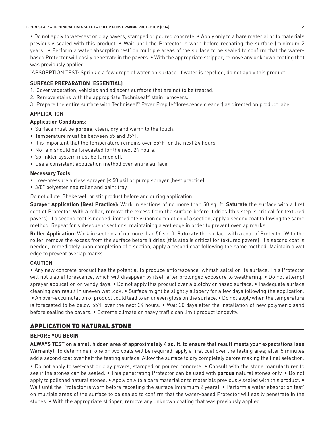• Do not apply to wet-cast or clay pavers, stamped or poured concrete. • Apply only to a bare material or to materials previously sealed with this product. • Wait until the Protector is worn before recoating the surface (minimum 2 years). • Perform a water absorption test\* on multiple areas of the surface to be sealed to confirm that the waterbased Protector will easily penetrate in the pavers. • With the appropriate stripper, remove any unknown coating that was previously applied.

\* ABSORPTION TEST: Sprinkle a few drops of water on surface. If water is repelled, do not apply this product.

#### **SURFACE PREPARATION (ESSENTIAL)**

- 1. Cover vegetation, vehicles and adjacent surfaces that are not to be treated.
- 2. Remove stains with the appropriate Techniseal® stain removers.
- 3. Prepare the entire surface with Techniseal® Paver Prep (efflorescence cleaner) as directed on product label.

#### **APPLICATION**

#### **Application Conditions:**

- Surface must be **porous**, clean, dry and warm to the touch.
- Temperature must be between 55 and 85°F.
- It is important that the temperature remains over 55°F for the next 24 hours
- No rain should be forecasted for the next 24 hours.
- Sprinkler system must be turned off.
- Use a consistent application method over entire surface.

#### **Necessary Tools:**

- Low-pressure airless sprayer (< 50 psi) or pump sprayer (best practice)
- 3/8" polyester nap roller and paint tray

#### Do not dilute. Shake well or stir product before and during application.

**Sprayer Application (Best Practice):** Work in sections of no more than 50 sq. ft. **Saturate** the surface with a first coat of Protector. With a roller, remove the excess from the surface before it dries (this step is critical for textured pavers). If a second coat is needed, immediately upon completion of a section, apply a second coat following the same method. Repeat for subsequent sections, maintaining a wet edge in order to prevent overlap marks.

**Roller Application:** Work in sections of no more than 50 sq. ft. **Saturate** the surface with a coat of Protector. With the roller, remove the excess from the surface before it dries (this step is critical for textured pavers). If a second coat is needed, immediately upon completion of a section, apply a second coat following the same method. Maintain a wet edge to prevent overlap marks.

#### **CAUTION**

• Any new concrete product has the potential to produce efflorescence (whitish salts) on its surface. This Protector will not trap efflorescence, which will disappear by itself after prolonged exposure to weathering. • Do not attempt sprayer application on windy days. • Do not apply this product over a blotchy or hazed surface. • Inadequate surface cleaning can result in uneven wet look. • Surface might be slightly slippery for a few days following the application. • An over-accumulation of product could lead to an uneven gloss on the surface. • Do not apply when the temperature is forecasted to be below 55°F over the next 24 hours. • Wait 30 days after the installation of new polymeric sand before sealing the pavers. • Extreme climate or heavy traffic can limit product longevity.

## APPLICATION TO NATURAL STONE

#### **BEFORE YOU BEGIN**

**ALWAYS TEST** on a small hidden area of approximately 4 sq. ft. to ensure that result meets your expectations (see Warranty). To determine if one or two coats will be required, apply a first coat over the testing area; after 5 minutes add a second coat over half the testing surface. Allow the surface to dry completely before making the final selection.

• Do not apply to wet-cast or clay pavers, stamped or poured concrete. • Consult with the stone manufacturer to see if the stones can be sealed. • This penetrating Protector can be used with **porous** natural stones only. • Do not apply to polished natural stones. • Apply only to a bare material or to materials previously sealed with this product. • Wait until the Protector is worn before recoating the surface (minimum 2 years). • Perform a water absorption test\* on multiple areas of the surface to be sealed to confirm that the water-based Protector will easily penetrate in the stones. • With the appropriate stripper, remove any unknown coating that was previously applied.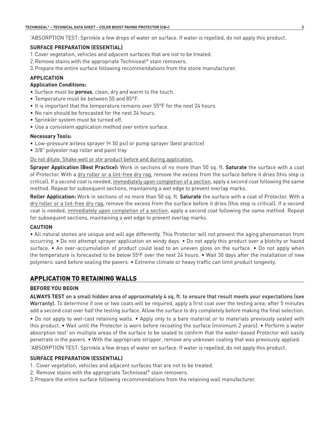\* ABSORPTION TEST: Sprinkle a few drops of water on surface. If water is repelled, do not apply this product.

#### **SURFACE PREPARATION (ESSENTIAL)**

- 1.Cover vegetation, vehicles and adjacent surfaces that are not to be treated.
- 2.Remove stains with the appropriate Techniseal® stain removers.
- 3.Prepare the entire surface following recommendations from the stone manufacturer.

#### **APPLICATION**

#### **Application Conditions:**

- Surface must be **porous**, clean, dry and warm to the touch.
- Temperature must be between 55 and 85°F.
- It is important that the temperature remains over 55°F for the next 24 hours
- No rain should be forecasted for the next 24 hours.
- Sprinkler system must be turned off.
- Use a consistent application method over entire surface.

#### **Necessary Tools:**

- Low-pressure airless sprayer (< 50 psi) or pump sprayer (best practice)
- 3/8" polyester nap roller and paint tray

#### Do not dilute. Shake well or stir product before and during application.

**Sprayer Application (Best Practice):** Work in sections of no more than 50 sq. ft. **Saturate** the surface with a coat of Protector. With a dry roller or a lint-free dry rag, remove the excess from the surface before it dries (this step is critical). If a second coat is needed, immediately upon completion of a section, apply a second coat following the same method. Repeat for subsequent sections, maintaining a wet edge to prevent overlap marks.

**Roller Application:** Work in sections of no more than 50 sq. ft. **Saturate** the surface with a coat of Protector. With a dry roller or a lint-free dry rag, remove the excess from the surface before it dries (this step is critical). If a second coat is needed, immediately upon completion of a section, apply a second coat following the same method. Repeat for subsequent sections, maintaining a wet edge to prevent overlap marks.

#### **CAUTION**

• All natural stones are unique and will age differently. This Protector will not prevent the aging phenomenon from occurring. • Do not attempt sprayer application on windy days. • Do not apply this product over a blotchy or hazed surface. • An over-accumulation of product could lead to an uneven gloss on the surface. • Do not apply when the temperature is forecasted to be below 55°F over the next 24 hours. • Wait 30 days after the installation of new polymeric sand before sealing the pavers. • Extreme climate or heavy traffic can limit product longevity.

### APPLICATION TO RETAINING WALLS

#### **BEFORE YOU BEGIN**

**ALWAYS TEST** on a small hidden area of approximately 4 sq. ft. to ensure that result meets your expectations (see Warranty). To determine if one or two coats will be required, apply a first coat over the testing area; after 5 minutes add a second coat over half the testing surface. Allow the surface to dry completely before making the final selection.

• Do not apply to wet-cast retaining walls. • Apply only to a bare material or to materials previously sealed with this product. • Wait until the Protector is worn before recoating the surface (minimum 2 years). • Perform a water absorption test\* on multiple areas of the surface to be sealed to confirm that the water-based Protector will easily penetrate in the pavers. • With the appropriate stripper, remove any unknown coating that was previously applied. \* ABSORPTION TEST: Sprinkle a few drops of water on surface. If water is repelled, do not apply this product.

#### **SURFACE PREPARATION (ESSENTIAL)**

- 1. Cover vegetation, vehicles and adjacent surfaces that are not to be treated.
- 2. Remove stains with the appropriate Techniseal® stain removers.
- 3.Prepare the entire surface following recommendations from the retaining wall manufacturer.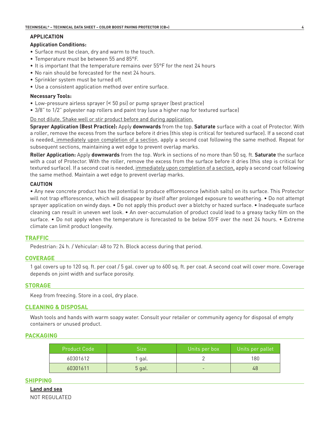#### **APPLICATION**

#### **Application Conditions:**

- Surface must be clean, dry and warm to the touch.
- Temperature must be between 55 and 85°F.
- It is important that the temperature remains over 55°F for the next 24 hours
- No rain should be forecasted for the next 24 hours.
- Sprinkler system must be turned off.
- Use a consistent application method over entire surface.

#### **Necessary Tools:**

- Low-pressure airless sprayer (< 50 psi) or pump sprayer (best practice)
- 3/8" to 1/2" polyester nap rollers and paint tray (use a higher nap for textured surface)

Do not dilute. Shake well or stir product before and during application.

**Sprayer Application (Best Practice):** Apply **downwards** from the top. **Saturate** surface with a coat of Protector. With a roller, remove the excess from the surface before it dries (this step is critical for textured surface). If a second coat is needed, immediately upon completion of a section, apply a second coat following the same method. Repeat for subsequent sections, maintaining a wet edge to prevent overlap marks.

**Roller Application:** Apply **downwards** from the top. Work in sections of no more than 50 sq. ft. **Saturate** the surface with a coat of Protector. With the roller, remove the excess from the surface before it dries (this step is critical for textured surface). If a second coat is needed, immediately upon completion of a section, apply a second coat following the same method. Maintain a wet edge to prevent overlap marks.

#### **CAUTION**

• Any new concrete product has the potential to produce efflorescence (whitish salts) on its surface. This Protector will not trap efflorescence, which will disappear by itself after prolonged exposure to weathering. • Do not attempt sprayer application on windy days. • Do not apply this product over a blotchy or hazed surface. • Inadequate surface cleaning can result in uneven wet look. • An over-accumulation of product could lead to a greasy tacky film on the surface. • Do not apply when the temperature is forecasted to be below 55°F over the next 24 hours. • Extreme climate can limit product longevity.

#### **TRAFFIC**

Pedestrian: 24 h. / Vehicular: 48 to 72 h. Block access during that period.

#### **COVERAGE**

1 gal covers up to 120 sq. ft. per coat / 5 gal. cover up to 600 sq. ft. per coat. A second coat will cover more. Coverage depends on joint width and surface porosity.

#### **STORAGE**

Keep from freezing. Store in a cool, dry place.

#### **CLEANING & DISPOSAL**

Wash tools and hands with warm soapy water. Consult your retailer or community agency for disposal of empty containers or unused product.

#### **PACKAGING**

| Product Code | Size   | Units per box | Units per pallet |
|--------------|--------|---------------|------------------|
| 60301612     | 1 gal. |               | 180              |
| 60301611     | 5 gal. |               | 48               |

#### **SHIPPING**

**Land and sea** NOT REGULATED